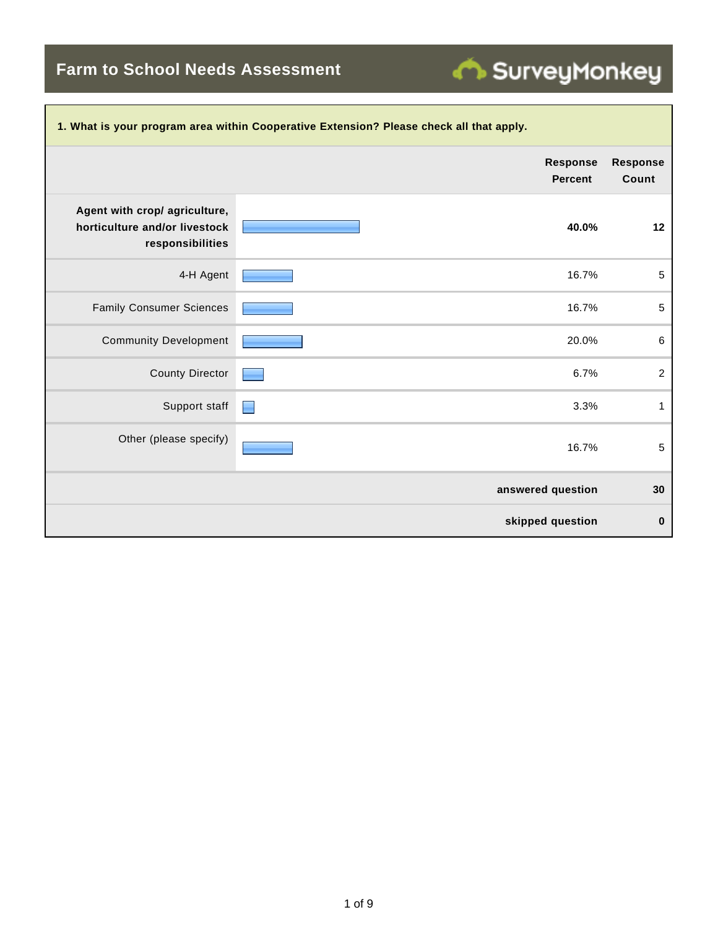**Farm to School Needs Assessment**

| 1. What is your program area within Cooperative Extension? Please check all that apply. |                                                                                                                                                                                                                                        |                          |  |  |  |
|-----------------------------------------------------------------------------------------|----------------------------------------------------------------------------------------------------------------------------------------------------------------------------------------------------------------------------------------|--------------------------|--|--|--|
|                                                                                         | <b>Response</b><br><b>Percent</b>                                                                                                                                                                                                      | <b>Response</b><br>Count |  |  |  |
| Agent with crop/ agriculture,<br>horticulture and/or livestock<br>responsibilities      | 40.0%                                                                                                                                                                                                                                  | 12                       |  |  |  |
| 4-H Agent                                                                               | 16.7%                                                                                                                                                                                                                                  | 5                        |  |  |  |
| <b>Family Consumer Sciences</b>                                                         | 16.7%                                                                                                                                                                                                                                  | 5                        |  |  |  |
| <b>Community Development</b>                                                            | 20.0%                                                                                                                                                                                                                                  | 6                        |  |  |  |
| <b>County Director</b>                                                                  | 6.7%                                                                                                                                                                                                                                   | $\overline{c}$           |  |  |  |
| Support staff                                                                           | 3.3%<br>and the contract of the contract of the contract of the contract of the contract of the contract of the contract of the contract of the contract of the contract of the contract of the contract of the contract of the contra | 1                        |  |  |  |
| Other (please specify)                                                                  | 16.7%                                                                                                                                                                                                                                  | 5                        |  |  |  |
|                                                                                         | answered question                                                                                                                                                                                                                      | 30                       |  |  |  |
|                                                                                         | skipped question                                                                                                                                                                                                                       | 0                        |  |  |  |

SurveyMonkey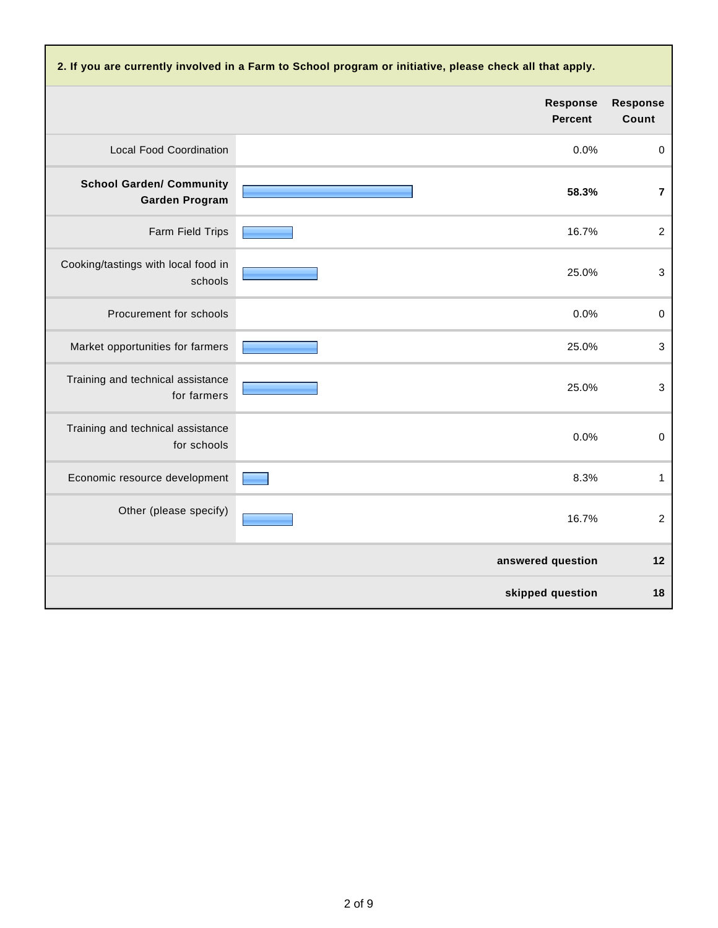| 2. If you are currently involved in a Farm to School program or initiative, please check all that apply. |                                   |                          |  |  |
|----------------------------------------------------------------------------------------------------------|-----------------------------------|--------------------------|--|--|
|                                                                                                          | <b>Response</b><br><b>Percent</b> | <b>Response</b><br>Count |  |  |
| <b>Local Food Coordination</b>                                                                           | 0.0%                              | $\pmb{0}$                |  |  |
| <b>School Garden/ Community</b><br><b>Garden Program</b>                                                 | 58.3%                             | $\overline{7}$           |  |  |
| Farm Field Trips                                                                                         | 16.7%                             | $\boldsymbol{2}$         |  |  |
| Cooking/tastings with local food in<br>schools                                                           | 25.0%                             | $\sqrt{3}$               |  |  |
| Procurement for schools                                                                                  | 0.0%                              | $\mathbf 0$              |  |  |
| Market opportunities for farmers                                                                         | 25.0%                             | 3                        |  |  |
| Training and technical assistance<br>for farmers                                                         | 25.0%                             | $\mathbf{3}$             |  |  |
| Training and technical assistance<br>for schools                                                         | 0.0%                              | $\pmb{0}$                |  |  |
| Economic resource development                                                                            | 8.3%                              | $\mathbf{1}$             |  |  |
| Other (please specify)                                                                                   | 16.7%                             | $\overline{2}$           |  |  |
|                                                                                                          | answered question                 | 12                       |  |  |
|                                                                                                          | skipped question                  | 18                       |  |  |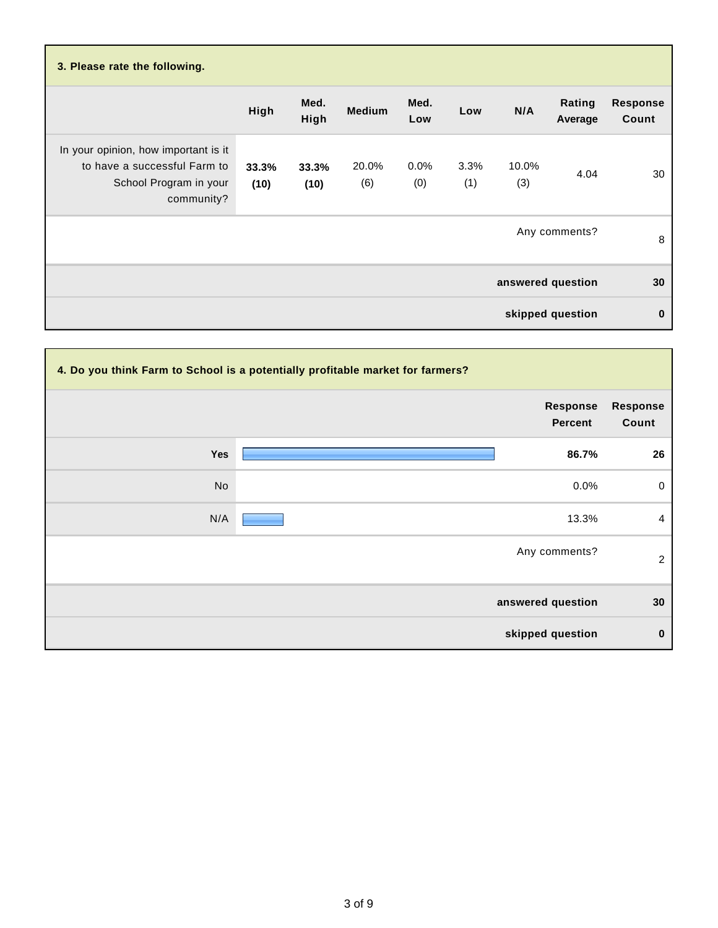| 3. Please rate the following.                                                                                |               |               |               |                |             |              |                   |                          |
|--------------------------------------------------------------------------------------------------------------|---------------|---------------|---------------|----------------|-------------|--------------|-------------------|--------------------------|
|                                                                                                              | High          | Med.<br>High  | <b>Medium</b> | Med.<br>Low    | Low         | N/A          | Rating<br>Average | <b>Response</b><br>Count |
| In your opinion, how important is it<br>to have a successful Farm to<br>School Program in your<br>community? | 33.3%<br>(10) | 33.3%<br>(10) | 20.0%<br>(6)  | $0.0\%$<br>(0) | 3.3%<br>(1) | 10.0%<br>(3) | 4.04              | 30                       |
|                                                                                                              |               |               |               |                |             |              | Any comments?     | 8                        |
|                                                                                                              |               |               |               |                |             |              | answered question | 30                       |
|                                                                                                              |               |               |               |                |             |              | skipped question  | $\mathbf 0$              |

| 4. Do you think Farm to School is a potentially profitable market for farmers? |                            |                          |  |  |
|--------------------------------------------------------------------------------|----------------------------|--------------------------|--|--|
|                                                                                | Response<br><b>Percent</b> | <b>Response</b><br>Count |  |  |
| Yes                                                                            | 86.7%                      | 26                       |  |  |
| No                                                                             | 0.0%                       | $\mathbf 0$              |  |  |
| N/A                                                                            | 13.3%                      | $\overline{4}$           |  |  |
|                                                                                | Any comments?              | $\overline{2}$           |  |  |
|                                                                                | answered question          | 30                       |  |  |
|                                                                                | skipped question           | $\mathbf 0$              |  |  |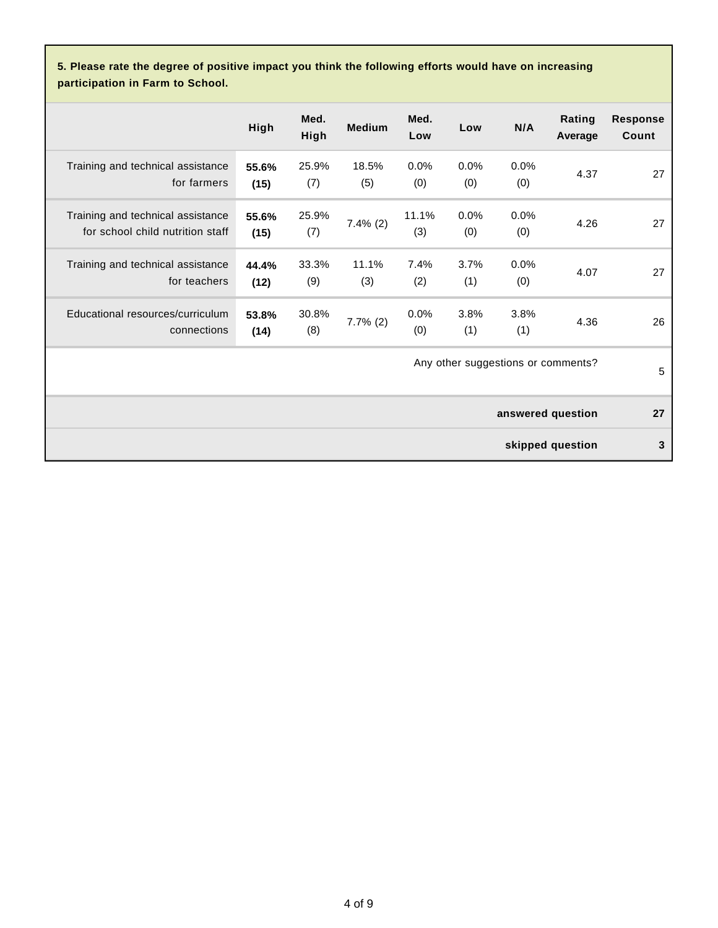**5. Please rate the degree of positive impact you think the following efforts would have on increasing participation in Farm to School.**

|                                                                       | High          | Med.<br>High | <b>Medium</b> | Med.<br>Low  | Low         | N/A         | Rating<br>Average                  | <b>Response</b><br>Count |
|-----------------------------------------------------------------------|---------------|--------------|---------------|--------------|-------------|-------------|------------------------------------|--------------------------|
| Training and technical assistance<br>for farmers                      | 55.6%<br>(15) | 25.9%<br>(7) | 18.5%<br>(5)  | 0.0%<br>(0)  | 0.0%<br>(0) | 0.0%<br>(0) | 4.37                               | 27                       |
| Training and technical assistance<br>for school child nutrition staff | 55.6%<br>(15) | 25.9%<br>(7) | $7.4\%$ (2)   | 11.1%<br>(3) | 0.0%<br>(0) | 0.0%<br>(0) | 4.26                               | 27                       |
| Training and technical assistance<br>for teachers                     | 44.4%<br>(12) | 33.3%<br>(9) | 11.1%<br>(3)  | 7.4%<br>(2)  | 3.7%<br>(1) | 0.0%<br>(0) | 4.07                               | 27                       |
| Educational resources/curriculum<br>connections                       | 53.8%<br>(14) | 30.8%<br>(8) | $7.7\%$ (2)   | 0.0%<br>(0)  | 3.8%<br>(1) | 3.8%<br>(1) | 4.36                               | 26                       |
|                                                                       |               |              |               |              |             |             | Any other suggestions or comments? | 5                        |
|                                                                       |               |              |               |              |             |             | answered question                  | 27                       |
|                                                                       |               |              |               |              |             |             | skipped question                   | 3                        |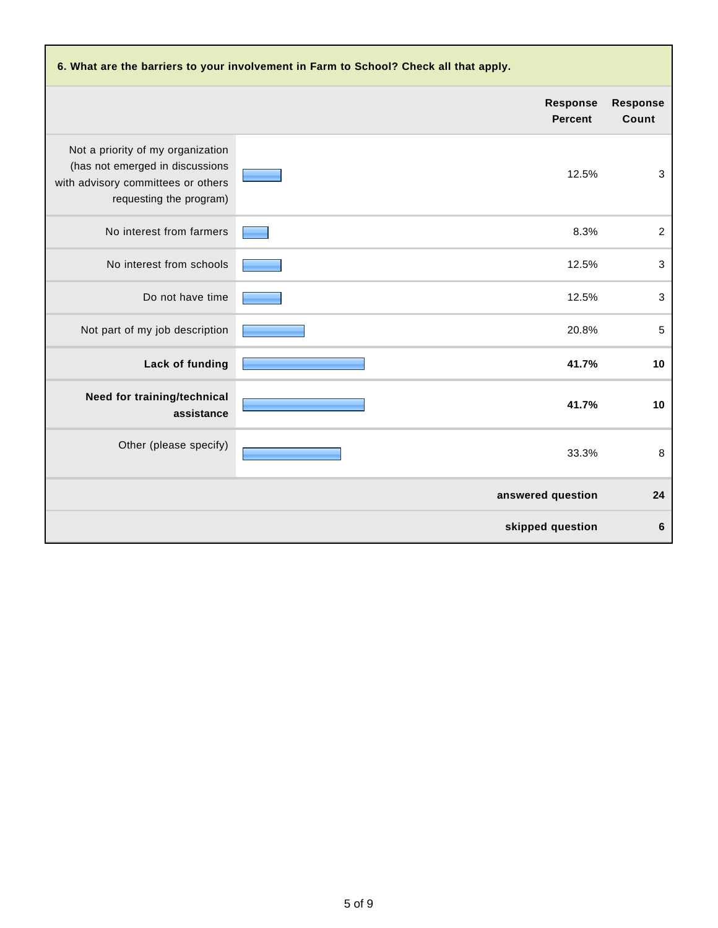| 6. What are the barriers to your involvement in Farm to School? Check all that apply.                                                 |                                   |                   |  |  |
|---------------------------------------------------------------------------------------------------------------------------------------|-----------------------------------|-------------------|--|--|
|                                                                                                                                       | <b>Response</b><br><b>Percent</b> | Response<br>Count |  |  |
| Not a priority of my organization<br>(has not emerged in discussions<br>with advisory committees or others<br>requesting the program) | 12.5%                             | $\mathbf{3}$      |  |  |
| No interest from farmers                                                                                                              | 8.3%                              | $\overline{2}$    |  |  |
| No interest from schools                                                                                                              | 12.5%                             | 3                 |  |  |
| Do not have time                                                                                                                      | 12.5%                             | $\mathbf{3}$      |  |  |
| Not part of my job description                                                                                                        | 20.8%                             | 5                 |  |  |
| Lack of funding                                                                                                                       | 41.7%                             | 10                |  |  |
| Need for training/technical<br>assistance                                                                                             | 41.7%                             | 10                |  |  |
| Other (please specify)                                                                                                                | 33.3%                             | 8                 |  |  |
|                                                                                                                                       | answered question                 | 24                |  |  |
|                                                                                                                                       | skipped question                  | 6                 |  |  |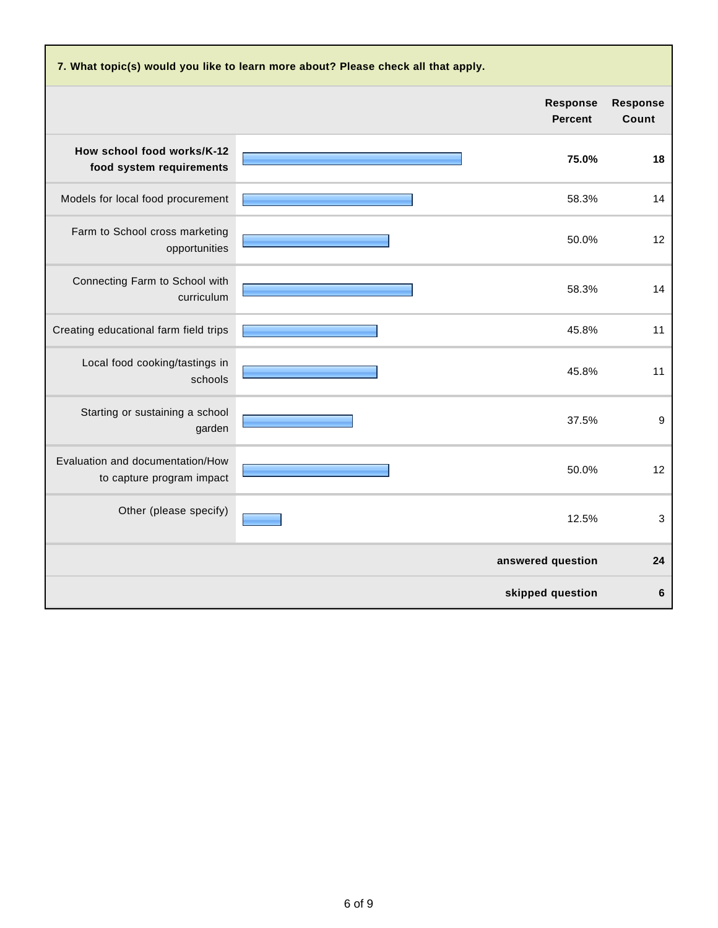| 7. What topic(s) would you like to learn more about? Please check all that apply. |                            |                          |  |  |  |
|-----------------------------------------------------------------------------------|----------------------------|--------------------------|--|--|--|
|                                                                                   | Response<br><b>Percent</b> | <b>Response</b><br>Count |  |  |  |
| How school food works/K-12<br>food system requirements                            | 75.0%                      | 18                       |  |  |  |
| Models for local food procurement                                                 | 58.3%                      | 14                       |  |  |  |
| Farm to School cross marketing<br>opportunities                                   | 50.0%                      | 12                       |  |  |  |
| Connecting Farm to School with<br>curriculum                                      | 58.3%                      | 14                       |  |  |  |
| Creating educational farm field trips                                             | 45.8%                      | 11                       |  |  |  |
| Local food cooking/tastings in<br>schools                                         | 45.8%                      | 11                       |  |  |  |
| Starting or sustaining a school<br>garden                                         | 37.5%                      | $\boldsymbol{9}$         |  |  |  |
| Evaluation and documentation/How<br>to capture program impact                     | 50.0%                      | 12                       |  |  |  |
| Other (please specify)                                                            | 12.5%                      | $\mathbf{3}$             |  |  |  |
|                                                                                   | answered question          | 24                       |  |  |  |
|                                                                                   | skipped question           | $6\phantom{1}6$          |  |  |  |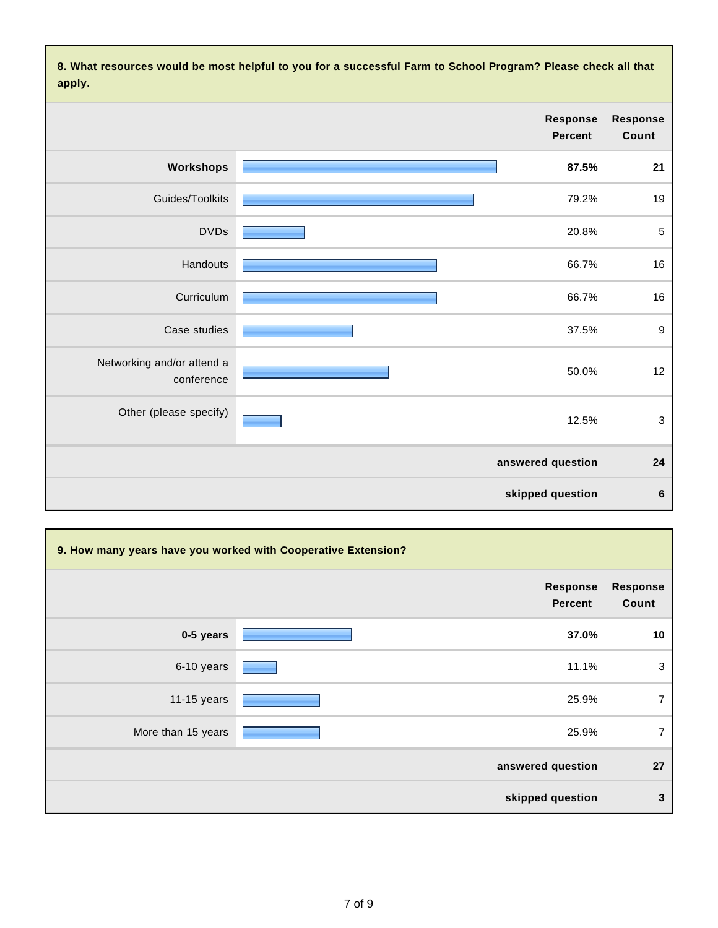**8. What resources would be most helpful to you for a successful Farm to School Program? Please check all that apply.**

|                                          | <b>Response</b><br><b>Percent</b> | <b>Response</b><br>Count  |
|------------------------------------------|-----------------------------------|---------------------------|
| Workshops                                | 87.5%                             | 21                        |
| Guides/Toolkits                          | 79.2%                             | 19                        |
| <b>DVDs</b>                              | 20.8%                             | $\sqrt{5}$                |
| Handouts                                 | 66.7%                             | 16                        |
| Curriculum                               | 66.7%                             | 16                        |
| Case studies                             | 37.5%                             | $\boldsymbol{9}$          |
| Networking and/or attend a<br>conference | 50.0%                             | 12                        |
| Other (please specify)                   | 12.5%                             | $\ensuremath{\mathsf{3}}$ |
|                                          | answered question                 | 24                        |
|                                          | skipped question                  | $\bf 6$                   |

| 9. How many years have you worked with Cooperative Extension? |                            |                          |  |  |
|---------------------------------------------------------------|----------------------------|--------------------------|--|--|
|                                                               | Response<br><b>Percent</b> | <b>Response</b><br>Count |  |  |
| 0-5 years                                                     | 37.0%                      | 10                       |  |  |
| 6-10 years                                                    | 11.1%                      | $\mathbf{3}$             |  |  |
| 11-15 years                                                   | 25.9%                      | $\overline{7}$           |  |  |
| More than 15 years                                            | 25.9%                      | 7                        |  |  |
|                                                               | answered question          | 27                       |  |  |
|                                                               | skipped question           | $\mathbf{3}$             |  |  |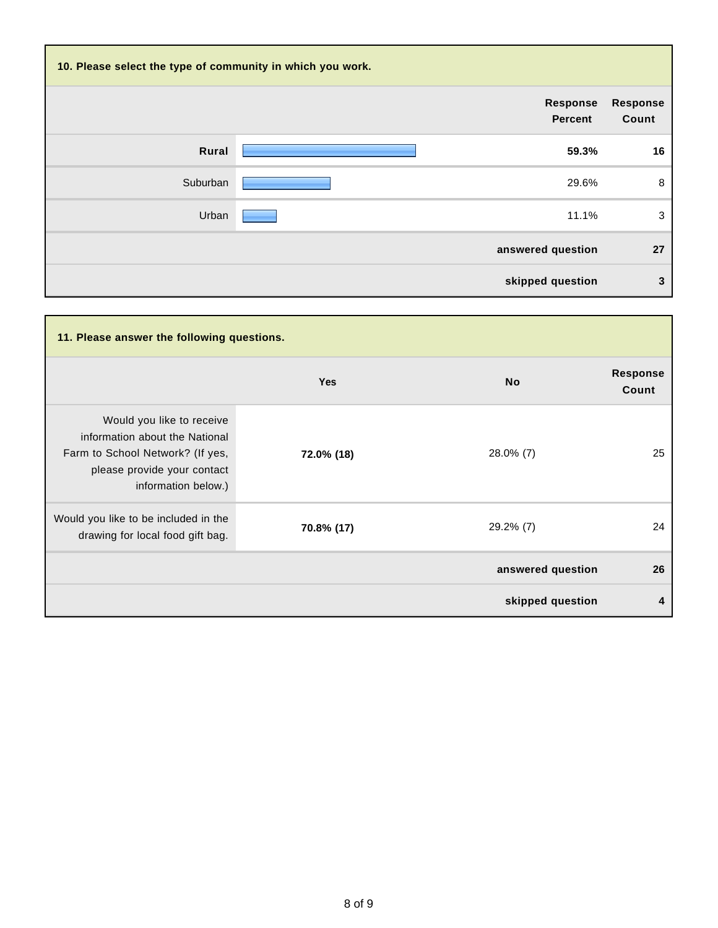| 10. Please select the type of community in which you work. |                                   |                          |  |  |
|------------------------------------------------------------|-----------------------------------|--------------------------|--|--|
|                                                            | <b>Response</b><br><b>Percent</b> | <b>Response</b><br>Count |  |  |
| Rural                                                      | 59.3%                             | 16                       |  |  |
| Suburban                                                   | 29.6%                             | 8                        |  |  |
| Urban                                                      | 11.1%                             | 3                        |  |  |
|                                                            | answered question                 | 27                       |  |  |
|                                                            | skipped question                  | 3                        |  |  |

| 11. Please answer the following questions.                                                                                                            |            |                   |                          |  |
|-------------------------------------------------------------------------------------------------------------------------------------------------------|------------|-------------------|--------------------------|--|
|                                                                                                                                                       | <b>Yes</b> | <b>No</b>         | <b>Response</b><br>Count |  |
| Would you like to receive<br>information about the National<br>Farm to School Network? (If yes,<br>please provide your contact<br>information below.) | 72.0% (18) | 28.0% (7)         | 25                       |  |
| Would you like to be included in the<br>drawing for local food gift bag.                                                                              | 70.8% (17) | 29.2% (7)         | 24                       |  |
|                                                                                                                                                       |            | answered question | 26                       |  |
|                                                                                                                                                       |            | skipped question  | 4                        |  |